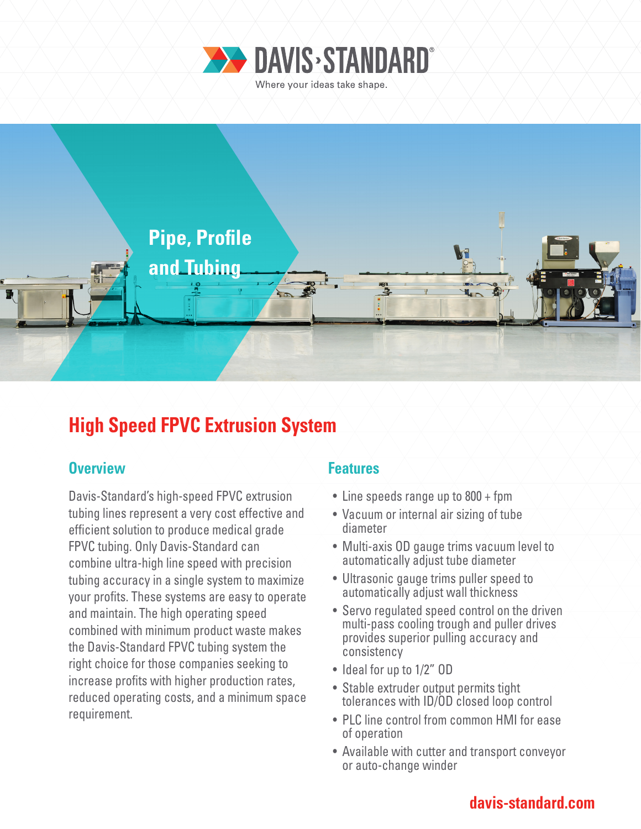



# **High Speed FPVC Extrusion System**

### **Overview Allen Access Access Access Access** Features

Davis-Standard's high-speed FPVC extrusion tubing lines represent a very cost effective and efficient solution to produce medical grade FPVC tubing. Only Davis-Standard can combine ultra-high line speed with precision tubing accuracy in a single system to maximize your profits. These systems are easy to operate and maintain. The high operating speed combined with minimum product waste makes the Davis-Standard FPVC tubing system the right choice for those companies seeking to increase profits with higher production rates, reduced operating costs, and a minimum space requirement.

- Line speeds range up to 800 + fpm
- Vacuum or internal air sizing of tube diameter
- Multi-axis OD gauge trims vacuum level to automatically adjust tube diameter
- Ultrasonic gauge trims puller speed to automatically adjust wall thickness
- Servo regulated speed control on the driven multi-pass cooling trough and puller drives provides superior pulling accuracy and consistency
- Ideal for up to 1/2" OD
- Stable extruder output permits tight tolerances with ID/OD closed loop control
- PLC line control from common HMI for ease of operation
- Available with cutter and transport conveyor or auto-change winder

### **davis-standard.com**